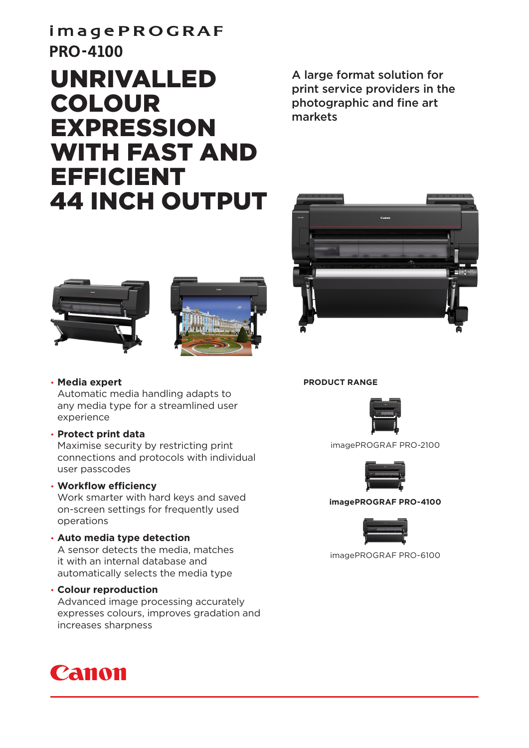# imagePROGRAF **PRO-4100**

# UNRIVALLED COLOUR EXPRESSION WITH FAST AND EFFICIENT 44 INCH OUTPUT

A large format solution for print service providers in the photographic and fine art markets







• **Media expert**

Automatic media handling adapts to any media type for a streamlined user experience

• **Protect print data**

Maximise security by restricting print connections and protocols with individual user passcodes

### • **Workflow efficiency**

Work smarter with hard keys and saved on-screen settings for frequently used operations

## • **Auto media type detection**

A sensor detects the media, matches it with an internal database and automatically selects the media type

#### • **Colour reproduction**

Advanced image processing accurately expresses colours, improves gradation and increases sharpness



#### **PRODUCT RANGE**



imagePROGRAF PRO-2100



#### **imagePROGRAF PRO-4100**



imagePROGRAF PRO-6100